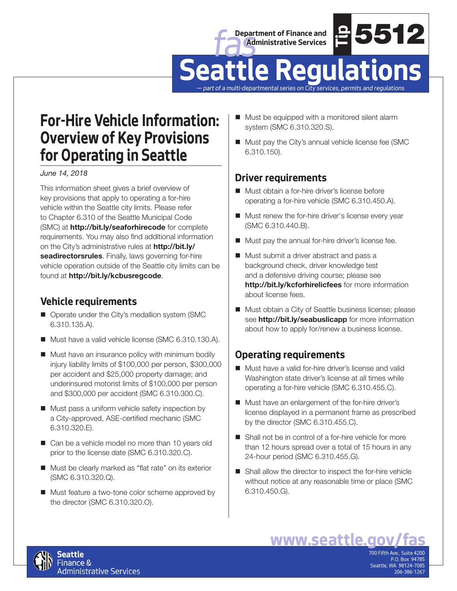



# **Seattle Regulations**

*— part of a multi-departmental series on City services, permits and regulations*

# **For-Hire Vehicle Information: Overview of Key Provisions for Operating in Seattle**

*June 14, 2018*

This information sheet gives a brief overview of key provisions that apply to operating a for-hire vehicle within the Seattle city limits. Please refer to Chapter 6.310 of the Seattle Municipal Code (SMC) at **http://bit.ly/seaforhirecode** for complete requirements. You may also find additional information on the City's administrative rules at **http://bit.ly/ seadirectorsrules**. Finally, laws governing for-hire vehicle operation outside of the Seattle city limits can be found at **http://bit.ly/kcbusregcode**.

## **Vehicle requirements**

- Operate under the City's medallion system (SMC 6.310.135.A).
- Must have a valid vehicle license (SMC 6.310.130.A).
- **Must have an insurance policy with minimum bodily** injury liability limits of \$100,000 per person, \$300,000 per accident and \$25,000 property damage; and underinsured motorist limits of \$100,000 per person and \$300,000 per accident (SMC 6.310.300.C).
- $\blacksquare$  Must pass a uniform vehicle safety inspection by a City-approved, ASE-certified mechanic (SMC 6.310.320.E).
- Can be a vehicle model no more than 10 years old prior to the license date (SMC 6.310.320.C).
- Must be clearly marked as "flat rate" on its exterior (SMC 6.310.320.Q).
- Must feature a two-tone color scheme approved by the director (SMC 6.310.320.O).
- Must be equipped with a monitored silent alarm system (SMC 6.310.320.S).
- Must pay the City's annual vehicle license fee (SMC 6.310.150).

#### **Driver requirements**

- Must obtain a for-hire driver's license before operating a for-hire vehicle (SMC 6.310.450.A).
- **Must renew the for-hire driver's license every year** (SMC 6.310.440.B).
- **Must pay the annual for-hire driver's license fee.**
- **example 2013**<br> **weat the Control of Security Services Analysis (SMC 6.310.320.5).**<br>
We clity samulal vehicle license for (SMC 6.310.320.5).<br>
We clity's annual vehicle license for (SMC 6.310.420.5).<br>
We clity's annual vehi ■ Must submit a driver abstract and pass a background check, driver knowledge test and a defensive driving course; please see **http://bit.ly/kcforhirelicfees** for more information about license fees.
- **Must obtain a City of Seattle business license; please** see **http://bit.ly/seabuslicapp** for more information about how to apply for/renew a business license.

### **Operating requirements**

- Must have a valid for-hire driver's license and valid Washington state driver's license at all times while operating a for-hire vehicle (SMC 6.310.455.C).
- Must have an enlargement of the for-hire driver's license displayed in a permanent frame as prescribed by the director (SMC 6.310.455.C).
- Shall not be in control of a for-hire vehicle for more than 12 hours spread over a total of 15 hours in any 24-hour period (SMC 6.310.455.G).
- Shall allow the director to inspect the for-hire vehicle without notice at any reasonable time or place (SMC 6.310.450.G).



700 Fifth Ave., Suite 4200 P.O. Box 94785 Seattle, WA 98124-7085 206-386-1267